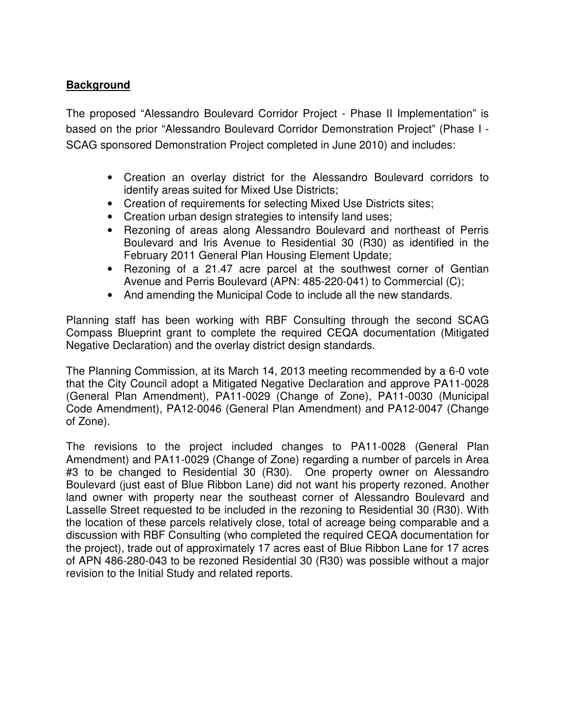# **Background**

The proposed "Alessandro Boulevard Corridor Project - Phase II Implementation" is based on the prior "Alessandro Boulevard Corridor Demonstration Project" (Phase I - SCAG sponsored Demonstration Project completed in June 2010) and includes:

- Creation an overlay district for the Alessandro Boulevard corridors to identify areas suited for Mixed Use Districts;
- Creation of requirements for selecting Mixed Use Districts sites;
- Creation urban design strategies to intensify land uses;
- Rezoning of areas along Alessandro Boulevard and northeast of Perris Boulevard and Iris Avenue to Residential 30 (R30) as identified in the February 2011 General Plan Housing Element Update;
- Rezoning of a 21.47 acre parcel at the southwest corner of Gentian Avenue and Perris Boulevard (APN: 485-220-041) to Commercial (C);
- And amending the Municipal Code to include all the new standards.

Planning staff has been working with RBF Consulting through the second SCAG Compass Blueprint grant to complete the required CEQA documentation (Mitigated Negative Declaration) and the overlay district design standards.

The Planning Commission, at its March 14, 2013 meeting recommended by a 6-0 vote that the City Council adopt a Mitigated Negative Declaration and approve PA11-0028 (General Plan Amendment), PA11-0029 (Change of Zone), PA11-0030 (Municipal Code Amendment), PA12-0046 (General Plan Amendment) and PA12-0047 (Change of Zone).

The revisions to the project included changes to PA11-0028 (General Plan Amendment) and PA11-0029 (Change of Zone) regarding a number of parcels in Area #3 to be changed to Residential 30 (R30). One property owner on Alessandro Boulevard (just east of Blue Ribbon Lane) did not want his property rezoned. Another land owner with property near the southeast corner of Alessandro Boulevard and Lasselle Street requested to be included in the rezoning to Residential 30 (R30). With the location of these parcels relatively close, total of acreage being comparable and a discussion with RBF Consulting (who completed the required CEQA documentation for the project), trade out of approximately 17 acres east of Blue Ribbon Lane for 17 acres of APN 486-280-043 to be rezoned Residential 30 (R30) was possible without a major revision to the Initial Study and related reports.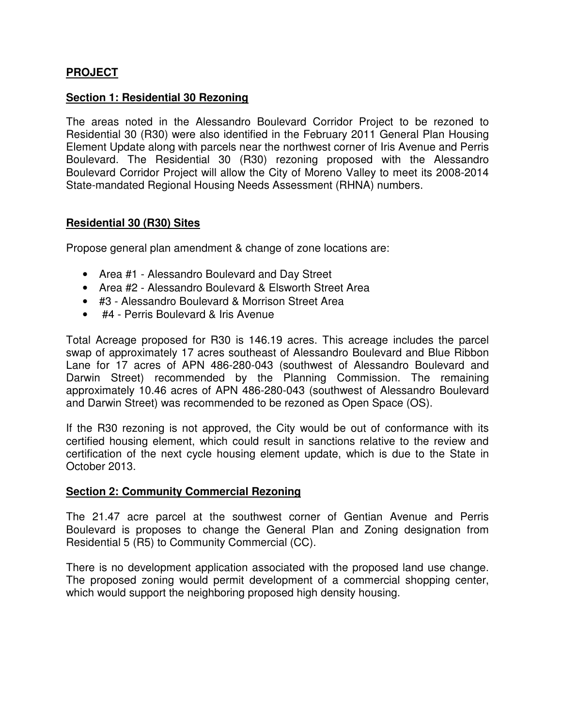# **PROJECT**

## **Section 1: Residential 30 Rezoning**

The areas noted in the Alessandro Boulevard Corridor Project to be rezoned to Residential 30 (R30) were also identified in the February 2011 General Plan Housing Element Update along with parcels near the northwest corner of Iris Avenue and Perris Boulevard. The Residential 30 (R30) rezoning proposed with the Alessandro Boulevard Corridor Project will allow the City of Moreno Valley to meet its 2008-2014 State-mandated Regional Housing Needs Assessment (RHNA) numbers.

#### **Residential 30 (R30) Sites**

Propose general plan amendment & change of zone locations are:

- Area #1 Alessandro Boulevard and Day Street
- Area #2 Alessandro Boulevard & Elsworth Street Area
- #3 Alessandro Boulevard & Morrison Street Area
- #4 Perris Boulevard & Iris Avenue

Total Acreage proposed for R30 is 146.19 acres. This acreage includes the parcel swap of approximately 17 acres southeast of Alessandro Boulevard and Blue Ribbon Lane for 17 acres of APN 486-280-043 (southwest of Alessandro Boulevard and Darwin Street) recommended by the Planning Commission. The remaining approximately 10.46 acres of APN 486-280-043 (southwest of Alessandro Boulevard and Darwin Street) was recommended to be rezoned as Open Space (OS).

If the R30 rezoning is not approved, the City would be out of conformance with its certified housing element, which could result in sanctions relative to the review and certification of the next cycle housing element update, which is due to the State in October 2013.

#### **Section 2: Community Commercial Rezoning**

The 21.47 acre parcel at the southwest corner of Gentian Avenue and Perris Boulevard is proposes to change the General Plan and Zoning designation from Residential 5 (R5) to Community Commercial (CC).

There is no development application associated with the proposed land use change. The proposed zoning would permit development of a commercial shopping center, which would support the neighboring proposed high density housing.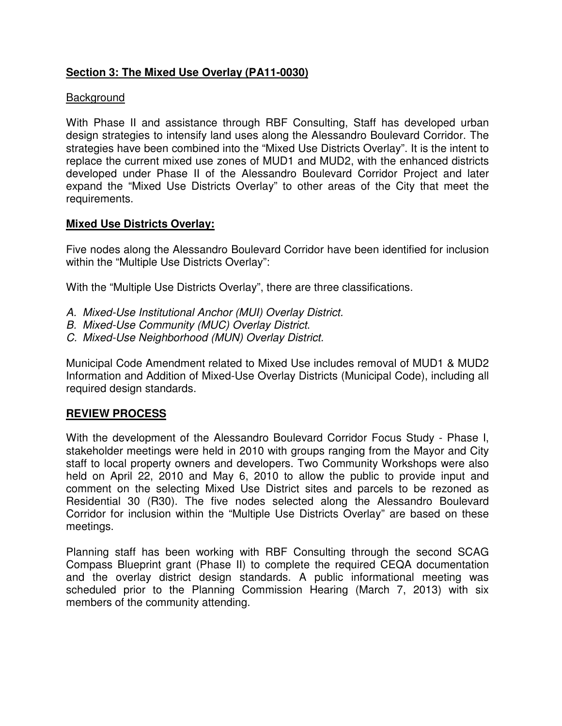# **Section 3: The Mixed Use Overlay (PA11-0030)**

# Background

With Phase II and assistance through RBF Consulting, Staff has developed urban design strategies to intensify land uses along the Alessandro Boulevard Corridor. The strategies have been combined into the "Mixed Use Districts Overlay". It is the intent to replace the current mixed use zones of MUD1 and MUD2, with the enhanced districts developed under Phase II of the Alessandro Boulevard Corridor Project and later expand the "Mixed Use Districts Overlay" to other areas of the City that meet the requirements.

# **Mixed Use Districts Overlay:**

Five nodes along the Alessandro Boulevard Corridor have been identified for inclusion within the "Multiple Use Districts Overlay":

With the "Multiple Use Districts Overlay", there are three classifications.

- A. Mixed-Use Institutional Anchor (MUI) Overlay District.
- B. Mixed-Use Community (MUC) Overlay District.
- C. Mixed-Use Neighborhood (MUN) Overlay District.

Municipal Code Amendment related to Mixed Use includes removal of MUD1 & MUD2 Information and Addition of Mixed-Use Overlay Districts (Municipal Code), including all required design standards.

## **REVIEW PROCESS**

With the development of the Alessandro Boulevard Corridor Focus Study - Phase I, stakeholder meetings were held in 2010 with groups ranging from the Mayor and City staff to local property owners and developers. Two Community Workshops were also held on April 22, 2010 and May 6, 2010 to allow the public to provide input and comment on the selecting Mixed Use District sites and parcels to be rezoned as Residential 30 (R30). The five nodes selected along the Alessandro Boulevard Corridor for inclusion within the "Multiple Use Districts Overlay" are based on these meetings.

Planning staff has been working with RBF Consulting through the second SCAG Compass Blueprint grant (Phase II) to complete the required CEQA documentation and the overlay district design standards. A public informational meeting was scheduled prior to the Planning Commission Hearing (March 7, 2013) with six members of the community attending.